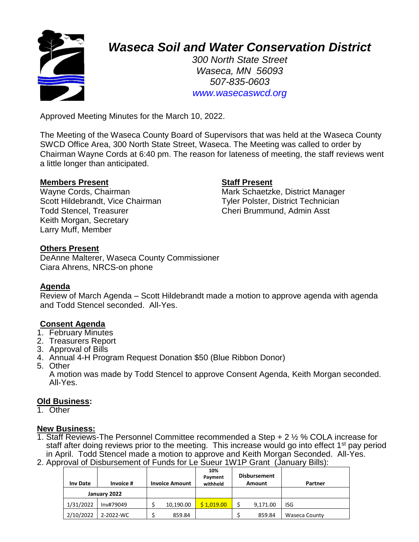

# *Waseca Soil and Water Conservation District*

*300 North State Street Waseca, MN 56093 507-835-0603 www.wasecaswcd.org*

Approved Meeting Minutes for the March 10, 2022.

The Meeting of the Waseca County Board of Supervisors that was held at the Waseca County SWCD Office Area, 300 North State Street, Waseca. The Meeting was called to order by Chairman Wayne Cords at 6:40 pm. The reason for lateness of meeting, the staff reviews went a little longer than anticipated.

# **Members Present Staff Present**

Scott Hildebrandt, Vice Chairman Tyler Polster, District Technician Todd Stencel, Treasurer Cheri Brummund, Admin Asst Keith Morgan, Secretary Larry Muff, Member

Wayne Cords, Chairman Mark Schaetzke, District Manager

# **Others Present**

DeAnne Malterer, Waseca County Commissioner Ciara Ahrens, NRCS-on phone

# **Agenda**

Review of March Agenda – Scott Hildebrandt made a motion to approve agenda with agenda and Todd Stencel seconded. All-Yes.

# **Consent Agenda**

- 1. February Minutes
- 2. Treasurers Report
- 3. Approval of Bills
- 4. Annual 4-H Program Request Donation \$50 (Blue Ribbon Donor)
- 5. Other

A motion was made by Todd Stencel to approve Consent Agenda, Keith Morgan seconded. All-Yes.

### **Old Business:**

1. Other

### **New Business:**

- 1. Staff Reviews-The Personnel Committee recommended a Step + 2 ½ % COLA increase for staff after doing reviews prior to the meeting. This increase would go into effect 1<sup>st</sup> pay period in April. Todd Stencel made a motion to approve and Keith Morgan Seconded. All-Yes.
- 2. Approval of Disbursement of Funds for Le Sueur 1W1P Grant (January Bills):

| <b>Inv Date</b> | Invoice # |  | <b>Invoice Amount</b> | 10%<br>Payment<br>withheld | <b>Disbursement</b><br>Amount | Partner       |
|-----------------|-----------|--|-----------------------|----------------------------|-------------------------------|---------------|
| January 2022    |           |  |                       |                            |                               |               |
| 1/31/2022       | Inv#79049 |  | 10,190.00             | \$1.019.00                 | 9,171.00                      | ISG           |
| 2/10/2022       | 2-2022-WC |  | 859.84                |                            | 859.84                        | Waseca County |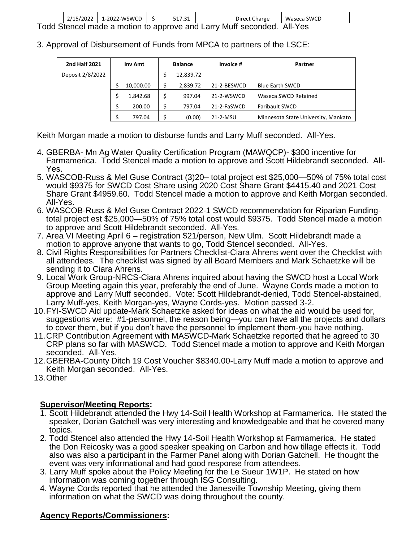|  |                                                                        | 2/15/2022 1-2022-WSWCD 5 |  | 517.31 |  | Direct Charge | Waseca SWCD |
|--|------------------------------------------------------------------------|--------------------------|--|--------|--|---------------|-------------|
|  | Todd Stencel made a motion to approve and Larry Muff seconded. All-Yes |                          |  |        |  |               |             |

3. Approval of Disbursement of Funds from MPCA to partners of the LSCE:

| <b>2nd Half 2021</b> | Inv Amt   |  | <b>Balance</b> | Invoice #   | Partner                             |  |
|----------------------|-----------|--|----------------|-------------|-------------------------------------|--|
| Deposit 2/8/2022     |           |  | 12,839.72      |             |                                     |  |
|                      | 10,000.00 |  | 2,839.72       | 21-2-BESWCD | <b>Blue Earth SWCD</b>              |  |
|                      | 1,842.68  |  | 997.04         | 21-2-WSWCD  | Waseca SWCD Retained                |  |
|                      | 200.00    |  | 797.04         | 21-2-FaSWCD | <b>Faribault SWCD</b>               |  |
|                      | 797.04    |  | (0.00)         | 21-2-MSU    | Minnesota State University, Mankato |  |

Keith Morgan made a motion to disburse funds and Larry Muff seconded. All-Yes.

- 4. GBERBA- Mn Ag Water Quality Certification Program (MAWQCP)- \$300 incentive for Farmamerica. Todd Stencel made a motion to approve and Scott Hildebrandt seconded. All-Yes.
- 5. WASCOB-Russ & Mel Guse Contract (3)20– total project est \$25,000—50% of 75% total cost would \$9375 for SWCD Cost Share using 2020 Cost Share Grant \$4415.40 and 2021 Cost Share Grant \$4959.60. Todd Stencel made a motion to approve and Keith Morgan seconded. All-Yes.
- 6. WASCOB-Russ & Mel Guse Contract 2022-1 SWCD recommendation for Riparian Fundingtotal project est \$25,000—50% of 75% total cost would \$9375. Todd Stencel made a motion to approve and Scott Hildebrandt seconded. All-Yes.
- 7. Area VI Meeting April 6 registration \$21/person, New Ulm. Scott Hildebrandt made a motion to approve anyone that wants to go, Todd Stencel seconded. All-Yes.
- 8. Civil Rights Responsibilities for Partners Checklist-Ciara Ahrens went over the Checklist with all attendees. The checklist was signed by all Board Members and Mark Schaetzke will be sending it to Ciara Ahrens.
- 9. Local Work Group-NRCS-Ciara Ahrens inquired about having the SWCD host a Local Work Group Meeting again this year, preferably the end of June. Wayne Cords made a motion to approve and Larry Muff seconded. Vote: Scott Hildebrandt-denied, Todd Stencel-abstained, Larry Muff-yes, Keith Morgan-yes, Wayne Cords-yes. Motion passed 3-2.
- 10.FYI-SWCD Aid update-Mark Schaetzke asked for ideas on what the aid would be used for, suggestions were: #1-personnel, the reason being—you can have all the projects and dollars to cover them, but if you don't have the personnel to implement them-you have nothing.
- 11.CRP Contribution Agreement with MASWCD-Mark Schaetzke reported that he agreed to 30 CRP plans so far with MASWCD. Todd Stencel made a motion to approve and Keith Morgan seconded. All-Yes.
- 12.GBERBA-County Ditch 19 Cost Voucher \$8340.00-Larry Muff made a motion to approve and Keith Morgan seconded. All-Yes.
- 13.Other

# **Supervisor/Meeting Reports:**

- 1. Scott Hildebrandt attended the Hwy 14-Soil Health Workshop at Farmamerica. He stated the speaker, Dorian Gatchell was very interesting and knowledgeable and that he covered many topics.
- 2. Todd Stencel also attended the Hwy 14-Soil Health Workshop at Farmamerica. He stated the Don Reicosky was a good speaker speaking on Carbon and how tillage effects it. Todd also was also a participant in the Farmer Panel along with Dorian Gatchell. He thought the event was very informational and had good response from attendees.
- 3. Larry Muff spoke about the Policy Meeting for the Le Sueur 1W1P. He stated on how information was coming together through ISG Consulting.
- 4. Wayne Cords reported that he attended the Janesville Township Meeting, giving them information on what the SWCD was doing throughout the county.

# **Agency Reports/Commissioners:**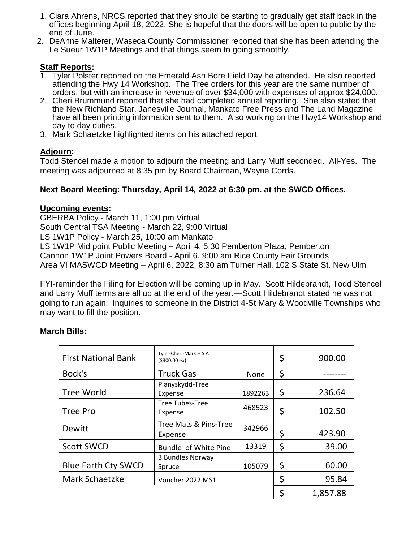- 1. Ciara Ahrens, NRCS reported that they should be starting to gradually get staff back in the offices beginning April 18, 2022. She is hopeful that the doors will be open to public by the end of June.
- 2. DeAnne Malterer, Waseca County Commissioner reported that she has been attending the Le Sueur 1W1P Meetings and that things seem to going smoothly.

# **Staff Reports:**

- 1. Tyler Polster reported on the Emerald Ash Bore Field Day he attended. He also reported attending the Hwy 14 Workshop. The Tree orders for this year are the same number of orders, but with an increase in revenue of over \$34,000 with expenses of approx \$24,000.
- 2. Cheri Brummund reported that she had completed annual reporting. She also stated that the New Richland Star, Janesville Journal, Mankato Free Press and The Land Magazine have all been printing information sent to them. Also working on the Hwy14 Workshop and day to day duties.
- 3. Mark Schaetzke highlighted items on his attached report.

# **Adjourn:**

Todd Stencel made a motion to adjourn the meeting and Larry Muff seconded. All-Yes. The meeting was adjourned at 8:35 pm by Board Chairman, Wayne Cords.

# **Next Board Meeting: Thursday, April 14***,* **2022 at 6:30 pm. at the SWCD Offices.**

# **Upcoming events:**

GBERBA Policy - March 11, 1:00 pm Virtual South Central TSA Meeting - March 22, 9:00 Virtual LS 1W1P Policy - March 25, 10:00 am Mankato LS 1W1P Mid point Public Meeting – April 4, 5:30 Pemberton Plaza, Pemberton Cannon 1W1P Joint Powers Board - April 6, 9:00 am Rice County Fair Grounds Area VI MASWCD Meeting – April 6, 2022, 8:30 am Turner Hall, 102 S State St. New Ulm

FYI-reminder the Filing for Election will be coming up in May. Scott Hildebrandt, Todd Stencel and Larry Muff terms are all up at the end of the year.—Scott Hildebrandt stated he was not going to run again. Inquiries to someone in the District 4-St Mary & Woodville Townships who may want to fill the position.

| <b>First National Bank</b> | Tyler-Cheri-Mark H S A<br>$( $300.00 \text{ ea} )$ |         | \$ | 900.00   |
|----------------------------|----------------------------------------------------|---------|----|----------|
| Bock's                     | <b>Truck Gas</b>                                   | None    | \$ |          |
| <b>Tree World</b>          | Planyskydd-Tree<br>Expense                         | 1892263 | \$ | 236.64   |
| Tree Pro                   | Tree Tubes-Tree<br>Expense                         | 468523  | \$ | 102.50   |
| Dewitt                     | Tree Mats & Pins-Tree<br>Expense                   | 342966  | \$ | 423.90   |
| <b>Scott SWCD</b>          | Bundle of White Pine                               | 13319   | \$ | 39.00    |
| <b>Blue Earth Cty SWCD</b> | 3 Bundles Norway<br>Spruce                         | 105079  | \$ | 60.00    |
| Mark Schaetzke             | Voucher 2022 MS1                                   |         | \$ | 95.84    |
|                            |                                                    |         | ς  | 1,857.88 |

# **March Bills:**